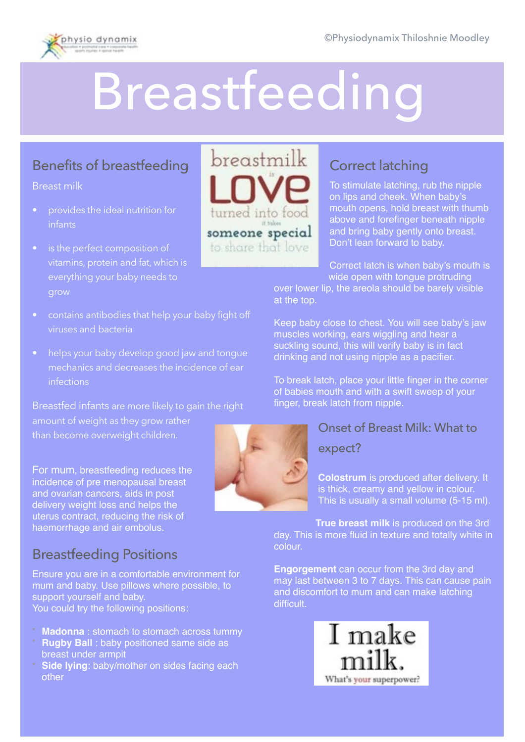

# Breastfeeding

## Benefits of breastfeeding

Breast milk

- provides the ideal nutrition for infants
- is the perfect composition of everything your baby needs to
- contains antibodies that help your baby fight off viruses and bacteria
- helps your baby develop good jaw and tonque mechanics and decreases the incidence of ear infections

Breastfed infants are more likely to gain the right amount of weight as they grow rather than become overweight children.

For mum, breastfeeding reduces the incidence of pre menopausal breast and ovarian cancers, aids in post delivery weight loss and helps the uterus contract, reducing the risk of haemorrhage and air embolus.

# Breastfeeding Positions

Ensure you are in a comfortable environment for mum and baby. Use pillows where possible, to support yourself and baby. You could try the following positions:

- **Madonna** : stomach to stomach across tummy
- **Rugby Ball** : baby positioned same side as breast under armpit
- **Side lying**: baby/mother on sides facing each other



# Correct latching

To stimulate latching, rub the nipple on lips and cheek. When baby's mouth opens, hold breast with thumb above and forefinger beneath nipple and bring baby gently onto breast. Don't lean forward to baby.

Correct latch is when baby's mouth is wide open with tongue protruding

over lower lip, the areola should be barely visible at the top.

Keep baby close to chest. You will see baby's jaw muscles working, ears wiggling and hear a suckling sound, this will verify baby is in fact drinking and not using nipple as a pacifier.

To break latch, place your little finger in the corner of babies mouth and with a swift sweep of your finger, break latch from nipple.

## Onset of Breast Milk: What to

#### expect?

**Colostrum** is produced after delivery. It is thick, creamy and yellow in colour. This is usually a small volume (5-15 ml).

**True breast milk** is produced on the 3rd day. This is more fluid in texture and totally white in colour.

**Engorgement** can occur from the 3rd day and may last between 3 to 7 days. This can cause pain and discomfort to mum and can make latching difficult.